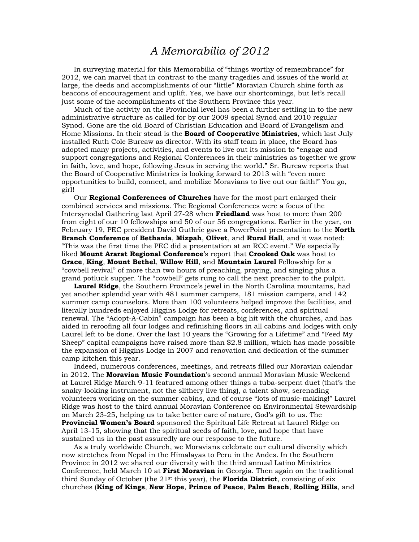## *A Memorabilia of 2012*

 In surveying material for this Memorabilia of "things worthy of remembrance" for 2012, we can marvel that in contrast to the many tragedies and issues of the world at large, the deeds and accomplishments of our "little" Moravian Church shine forth as beacons of encouragement and uplift. Yes, we have our shortcomings, but let's recall just some of the accomplishments of the Southern Province this year.

 Much of the activity on the Provincial level has been a further settling in to the new administrative structure as called for by our 2009 special Synod and 2010 regular Synod. Gone are the old Board of Christian Education and Board of Evangelism and Home Missions. In their stead is the **Board of Cooperative Ministries**, which last July installed Ruth Cole Burcaw as director. With its staff team in place, the Board has adopted many projects, activities, and events to live out its mission to "engage and support congregations and Regional Conferences in their ministries as together we grow in faith, love, and hope, following Jesus in serving the world." Sr. Burcaw reports that the Board of Cooperative Ministries is looking forward to 2013 with "even more opportunities to build, connect, and mobilize Moravians to live out our faith!" You go, girl!

 Our **Regional Conferences of Churches** have for the most part enlarged their combined services and missions. The Regional Conferences were a focus of the Intersynodal Gathering last April 27-28 when **Friedland** was host to more than 200 from eight of our 10 fellowships and 50 of our 56 congregations. Earlier in the year, on February 19, PEC president David Guthrie gave a PowerPoint presentation to the **North Branch Conference** of **Bethania**, **Mizpah**, **Olivet**, and **Rural Hall**, and it was noted: "This was the first time the PEC did a presentation at an RCC event." We especially liked **Mount Ararat Regional Conference**'s report that **Crooked Oak** was host to **Grace**, **King**, **Mount Bethel**, **Willow Hill**, and **Mountain Laurel** Fellowship for a "cowbell revival" of more than two hours of preaching, praying, and singing plus a grand potluck supper. The "cowbell" gets rung to call the next preacher to the pulpit.

**Laurel Ridge**, the Southern Province's jewel in the North Carolina mountains, had yet another splendid year with 481 summer campers, 181 mission campers, and 142 summer camp counselors. More than 100 volunteers helped improve the facilities, and literally hundreds enjoyed Higgins Lodge for retreats, conferences, and spiritual renewal. The "Adopt-A-Cabin" campaign has been a big hit with the churches, and has aided in reroofing all four lodges and refinishing floors in all cabins and lodges with only Laurel left to be done. Over the last 10 years the "Growing for a Lifetime" and "Feed My Sheep" capital campaigns have raised more than \$2.8 million, which has made possible the expansion of Higgins Lodge in 2007 and renovation and dedication of the summer camp kitchen this year.

 Indeed, numerous conferences, meetings, and retreats filled our Moravian calendar in 2012. The **Moravian Music Foundation**'s second annual Moravian Music Weekend at Laurel Ridge March 9-11 featured among other things a tuba-serpent duet (that's the snaky-looking instrument, not the slithery live thing), a talent show, serenading volunteers working on the summer cabins, and of course "lots of music-making!" Laurel Ridge was host to the third annual Moravian Conference on Environmental Stewardship on March 23-25, helping us to take better care of nature, God's gift to us. The **Provincial Women's Board** sponsored the Spiritual Life Retreat at Laurel Ridge on April 13-15, showing that the spiritual seeds of faith, love, and hope that have sustained us in the past assuredly are our response to the future.

 As a truly worldwide Church, we Moravians celebrate our cultural diversity which now stretches from Nepal in the Himalayas to Peru in the Andes. In the Southern Province in 2012 we shared our diversity with the third annual Latino Ministries Conference, held March 10 at **First Moravian** in Georgia. Then again on the traditional third Sunday of October (the  $21^{st}$  this year), the **Florida District**, consisting of six churches (**King of Kings**, **New Hope**, **Prince of Peace**, **Palm Beach**, **Rolling Hills**, and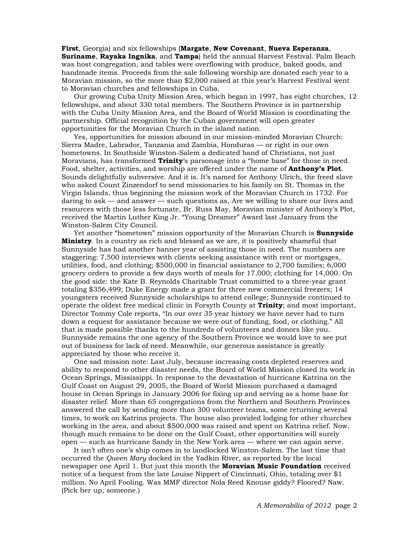**First**, Georgia) and six fellowships (**Margate**, **New Covenant**, **Nueva Esperanza**, **Suriname**, **Rayaka Ingnika**, and **Tampa**) held the annual Harvest Festival. Palm Beach was host congregation, and tables were overflowing with produce, baked goods, and handmade items. Proceeds from the sale following worship are donated each year to a Moravian mission, so the more than \$2,000 raised at this year's Harvest Festival went to Moravian churches and fellowships in Cuba.

 Our growing Cuba Unity Mission Area, which began in 1997, has eight churches, 12 fellowships, and about 330 total members. The Southern Province is in partnership with the Cuba Unity Mission Area, and the Board of World Mission is coordinating the partnership. Official recognition by the Cuban government will open greater opportunities for the Moravian Church in the island nation.

 Yes, opportunities for mission abound in our mission-minded Moravian Church: Sierra Madre, Labrador, Tanzania and Zambia, Honduras — or right in our own hometowns. In Southside Winston-Salem a dedicated band of Christians, not just Moravians, has transformed **Trinity**'s parsonage into a "home base" for those in need. Food, shelter, activities, and worship are offered under the name of **Anthony's Plot**. Sounds delightfully subversive. And it is. It's named for Anthony Ulrich, the freed slave who asked Count Zinzendorf to send missionaries to his family on St. Thomas in the Virgin Islands, thus beginning the mission work of the Moravian Church in 1732. For daring to ask — and answer — such questions as, Are we willing to share our lives and resources with those less fortunate, Br. Russ May, Moravian minister of Anthony's Plot, received the Martin Luther King Jr. "Young Dreamer" Award last January from the Winston-Salem City Council.

 Yet another "hometown" mission opportunity of the Moravian Church is **Sunnyside Ministry**. In a country as rich and blessed as we are, it is positively shameful that Sunnyside has had another banner year of assisting those in need. The numbers are staggering: 7,500 interviews with clients seeking assistance with rent or mortgages, utilities, food, and clothing; \$500,000 in financial assistance to 2,700 families; 6,000 grocery orders to provide a few days worth of meals for 17,000; clothing for 14,000. On the good side: the Kate B. Reynolds Charitable Trust committed to a three-year grant totaling \$356,499; Duke Energy made a grant for three new commercial freezers; 14 youngsters received Sunnyside scholarships to attend college; Sunnyside continued to operate the oldest free medical clinic in Forsyth County at **Trinity**; and most important, Director Tommy Cole reports, "In our over 35 year history we have never had to turn down a request for assistance because we were out of funding, food, or clothing." All that is made possible thanks to the hundreds of volunteers and donors like you. Sunnyside remains the one agency of the Southern Province we would love to see put out of business for lack of need. Meanwhile, our generous assistance is greatly appreciated by those who receive it.

 One sad mission note: Last July, because increasing costs depleted reserves and ability to respond to other disaster needs, the Board of World Mission closed its work in Ocean Springs, Mississippi. In response to the devastation of hurricane Katrina on the Gulf Coast on August 29, 2005, the Board of World Mission purchased a damaged house in Ocean Springs in January 2006 for fixing up and serving as a home base for disaster relief. More than 65 congregations from the Northern and Southern Provinces answered the call by sending more than 300 volunteer teams, some returning several times, to work on Katrina projects. The house also provided lodging for other churches working in the area, and about \$500,000 was raised and spent on Katrina relief. Now, though much remains to be done on the Gulf Coast, other opportunities will surely open — such as hurricane Sandy in the New York area — where we can again serve.

 It isn't often one's ship comes in to landlocked Winston-Salem. The last time that occurred the *Queen Mary* docked in the Yadkin River, as reported by the local newspaper one April 1. But just this month the **Moravian Music Foundation** received notice of a bequest from the late Louise Nippert of Cincinnati, Ohio, totaling over \$1 million. No April Fooling. Was MMF director Nola Reed Knouse giddy? Floored? Naw. (Pick her up, someone.)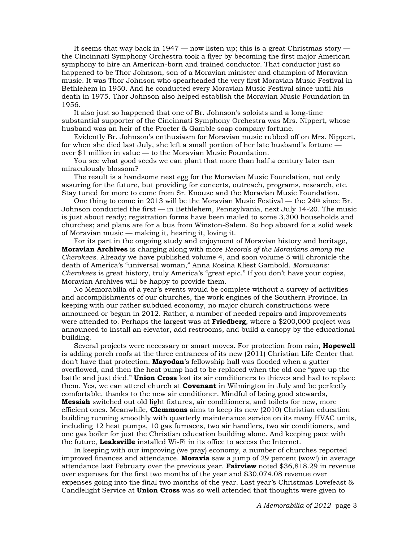It seems that way back in  $1947 -$  now listen up; this is a great Christmas story  $$ the Cincinnati Symphony Orchestra took a flyer by becoming the first major American symphony to hire an American-born and trained conductor. That conductor just so happened to be Thor Johnson, son of a Moravian minister and champion of Moravian music. It was Thor Johnson who spearheaded the very first Moravian Music Festival in Bethlehem in 1950. And he conducted every Moravian Music Festival since until his death in 1975. Thor Johnson also helped establish the Moravian Music Foundation in 1956.

 It also just so happened that one of Br. Johnson's soloists and a long-time substantial supporter of the Cincinnati Symphony Orchestra was Mrs. Nippert, whose husband was an heir of the Procter & Gamble soap company fortune.

 Evidently Br. Johnson's enthusiasm for Moravian music rubbed off on Mrs. Nippert, for when she died last July, she left a small portion of her late husband's fortune over \$1 million in value — to the Moravian Music Foundation.

 You see what good seeds we can plant that more than half a century later can miraculously blossom?

 The result is a handsome nest egg for the Moravian Music Foundation, not only assuring for the future, but providing for concerts, outreach, programs, research, etc. Stay tuned for more to come from Sr. Knouse and the Moravian Music Foundation.

One thing to come in 2013 will be the Moravian Music Festival — the  $24<sup>th</sup>$  since Br. Johnson conducted the first — in Bethlehem, Pennsylvania, next July 14-20. The music is just about ready; registration forms have been mailed to some 3,300 households and churches; and plans are for a bus from Winston-Salem. So hop aboard for a solid week of Moravian music — making it, hearing it, loving it.

 For its part in the ongoing study and enjoyment of Moravian history and heritage, **Moravian Archives** is charging along with more *Records of the Moravians among the Cherokees*. Already we have published volume 4, and soon volume 5 will chronicle the death of America's "universal woman," Anna Rosina Kliest Gambold. *Moravians: Cherokees* is great history, truly America's "great epic." If you don't have your copies, Moravian Archives will be happy to provide them.

 No Memorabilia of a year's events would be complete without a survey of activities and accomplishments of our churches, the work engines of the Southern Province. In keeping with our rather subdued economy, no major church constructions were announced or begun in 2012. Rather, a number of needed repairs and improvements were attended to. Perhaps the largest was at **Friedberg**, where a \$200,000 project was announced to install an elevator, add restrooms, and build a canopy by the educational building.

 Several projects were necessary or smart moves. For protection from rain, **Hopewell** is adding porch roofs at the three entrances of its new (2011) Christian Life Center that don't have that protection. **Mayodan**'s fellowship hall was flooded when a gutter overflowed, and then the heat pump had to be replaced when the old one "gave up the battle and just died." **Union Cross** lost its air conditioners to thieves and had to replace them. Yes, we can attend church at **Covenant** in Wilmington in July and be perfectly comfortable, thanks to the new air conditioner. Mindful of being good stewards, **Messiah** switched out old light fixtures, air conditioners, and toilets for new, more efficient ones. Meanwhile, **Clemmons** aims to keep its new (2010) Christian education building running smoothly with quarterly maintenance service on its many HVAC units, including 12 heat pumps, 10 gas furnaces, two air handlers, two air conditioners, and one gas boiler for just the Christian education building alone. And keeping pace with the future, **Leaksville** installed Wi-Fi in its office to access the Internet.

 In keeping with our improving (we pray) economy, a number of churches reported improved finances and attendance. **Moravia** saw a jump of 29 percent (wow!) in average attendance last February over the previous year. **Fairview** noted \$36,818.29 in revenue over expenses for the first two months of the year and \$30,074.08 revenue over expenses going into the final two months of the year. Last year's Christmas Lovefeast & Candlelight Service at **Union Cross** was so well attended that thoughts were given to